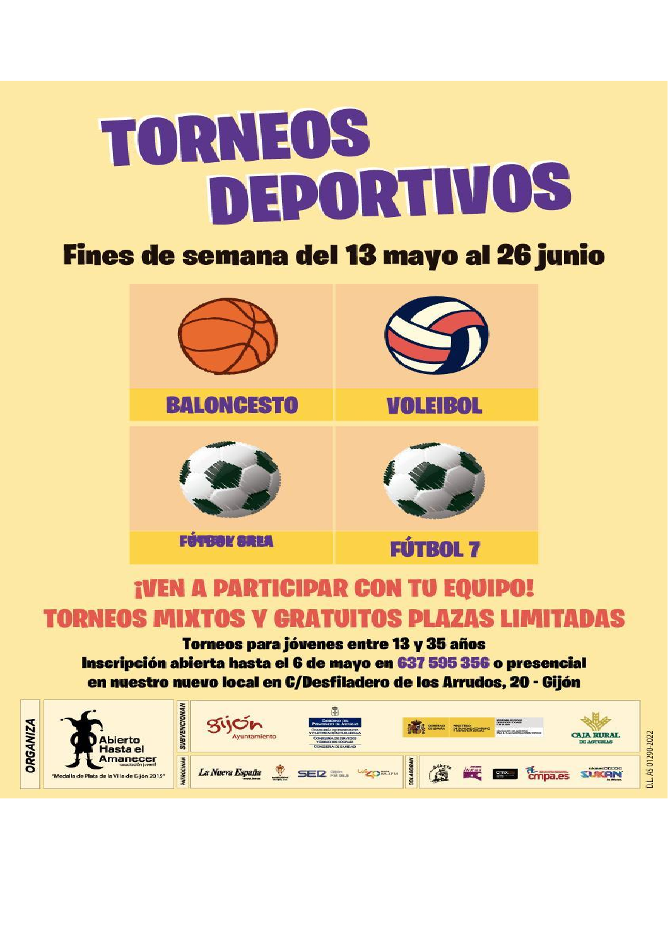# TORNEOS DEPORTIVOS

# **Fines de semana del 13 mayo al 26 junio**



## **¡VEN A PARTICIPAR CON TU EQUIPO! TORNEOS MIXTOS V GRATUITOS PLAZAS LIMITADAS**

Torneos para jóvenes entre 13 y 35 años Inscripción abierta hasta el 6 de mayo en 637 595 356 o presencial en nuestro nuevo local en C/Desfiladero de los Arrudos, 20 - Gijón

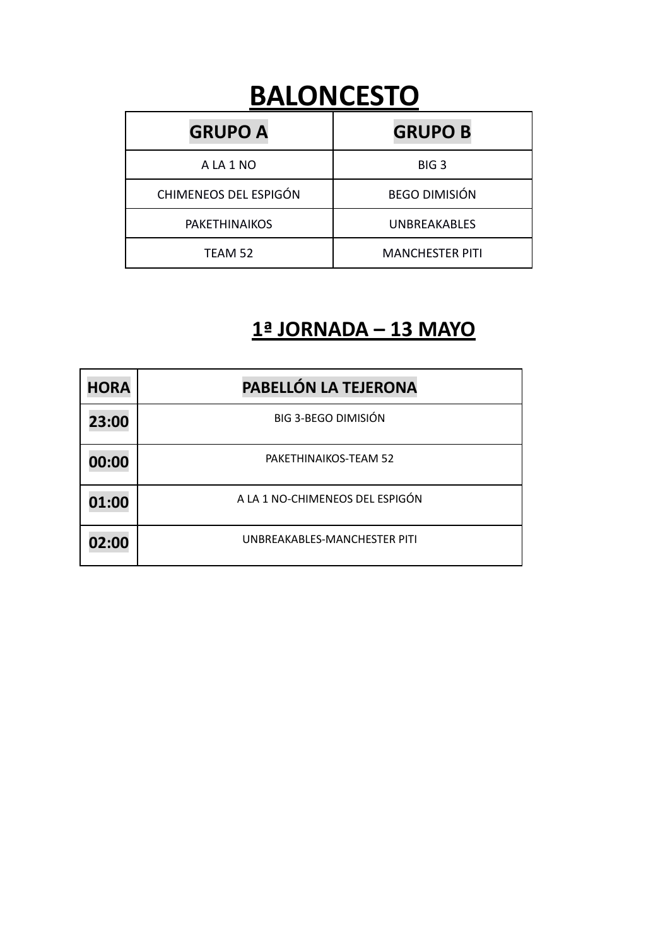# **BALONCESTO**

| <b>GRUPO A</b>        | <b>GRUPO B</b>         |
|-----------------------|------------------------|
| A LA 1 NO             | BIG <sub>3</sub>       |
| CHIMENEOS DEL ESPIGÓN | <b>BEGO DIMISIÓN</b>   |
| <b>PAKETHINAIKOS</b>  | <b>UNBREAKABLES</b>    |
| TEAM 52               | <b>MANCHESTER PITI</b> |

#### **1ª JORNADA – 13 MAYO**

| <b>HORA</b> | PABELLÓN LA TEJERONA            |
|-------------|---------------------------------|
| 23:00       | <b>BIG 3-BEGO DIMISIÓN</b>      |
| 00:00       | PAKETHINAIKOS-TEAM 52           |
| 01:00       | A LA 1 NO-CHIMENEOS DEL ESPIGÓN |
| 02:00       | UNBREAKABLES-MANCHESTER PITI    |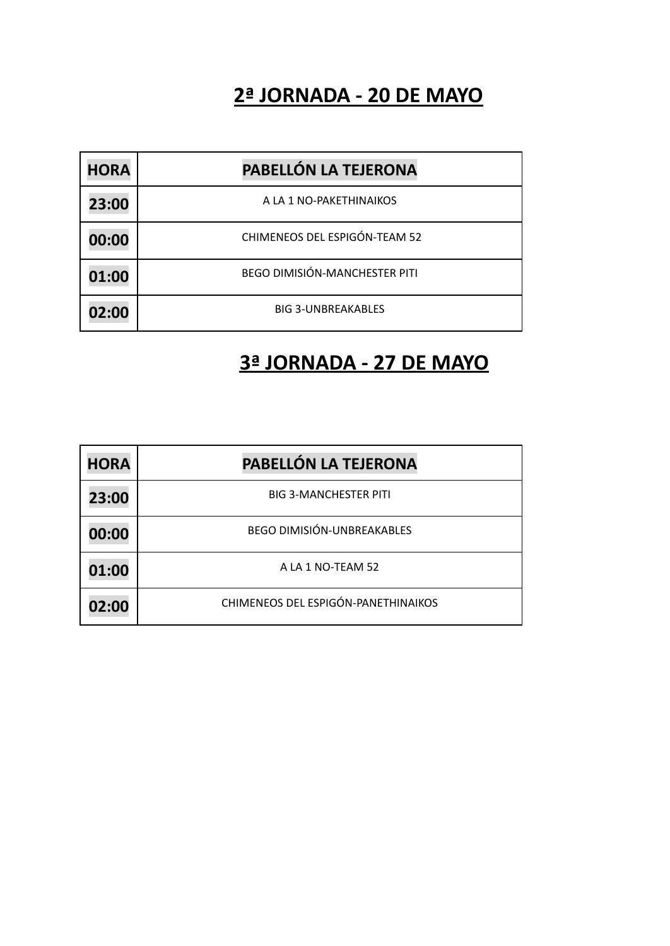#### **2ª JORNADA - 20 DE MAYO**

| <b>HORA</b> | PABELLÓN LA TEJERONA                 |
|-------------|--------------------------------------|
| 23:00       | A LA 1 NO-PAKETHINAIKOS              |
| 00:00       | CHIMENEOS DEL ESPIGÓN-TEAM 52        |
| 01:00       | <b>BEGO DIMISIÓN-MANCHESTER PITI</b> |
| 02:00       | <b>BIG 3-UNBREAKABLES</b>            |

#### **3ª JORNADA - 27 DE MAYO**

| <b>HORA</b> | PABELLÓN LA TEJERONA                |
|-------------|-------------------------------------|
| 23:00       | <b>BIG 3-MANCHESTER PITI</b>        |
| 00:00       | <b>BEGO DIMISIÓN-UNBREAKABLES</b>   |
| 01:00       | A LA 1 NO-TEAM 52                   |
| 02:00       | CHIMENEOS DEL ESPIGÓN-PANETHINAIKOS |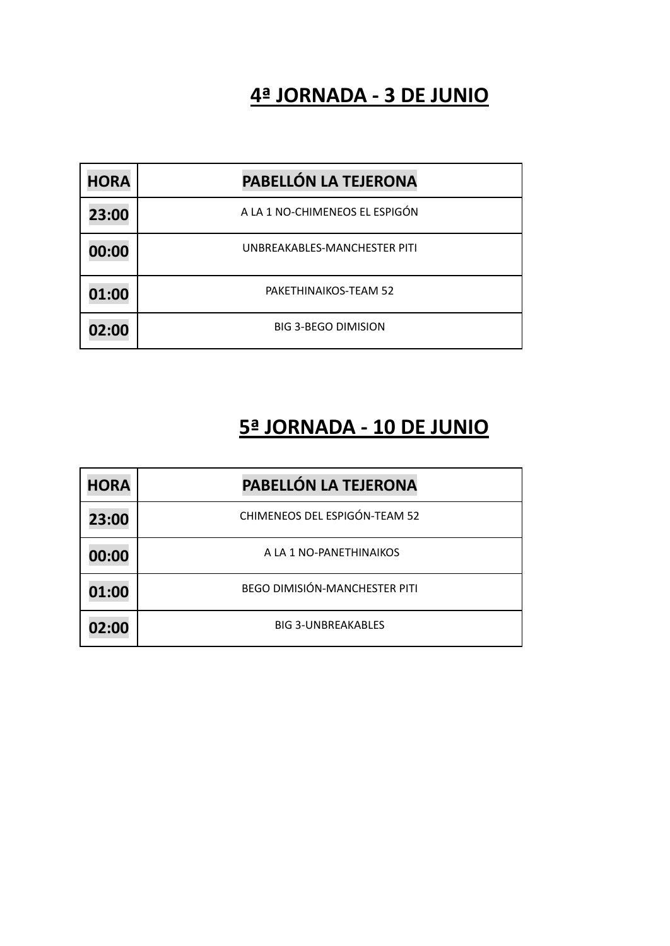#### **4ª JORNADA - 3 DE JUNIO**

| <b>HORA</b> | PABELLÓN LA TEJERONA           |
|-------------|--------------------------------|
| 23:00       | A LA 1 NO-CHIMENEOS EL ESPIGÓN |
| 00:00       | UNBREAKABLES-MANCHESTER PITI   |
| 01:00       | PAKETHINAIKOS-TEAM 52          |
| 02:00       | <b>BIG 3-BEGO DIMISION</b>     |

#### **5ª JORNADA - 10 DE JUNIO**

| <b>HORA</b> | PABELLÓN LA TEJERONA                 |
|-------------|--------------------------------------|
| 23:00       | <b>CHIMENEOS DEL ESPIGÓN-TEAM 52</b> |
| 00:00       | A LA 1 NO-PANETHINAIKOS              |
| 01:00       | <b>BEGO DIMISIÓN-MANCHESTER PITI</b> |
| 02:00       | <b>BIG 3-UNBREAKABLES</b>            |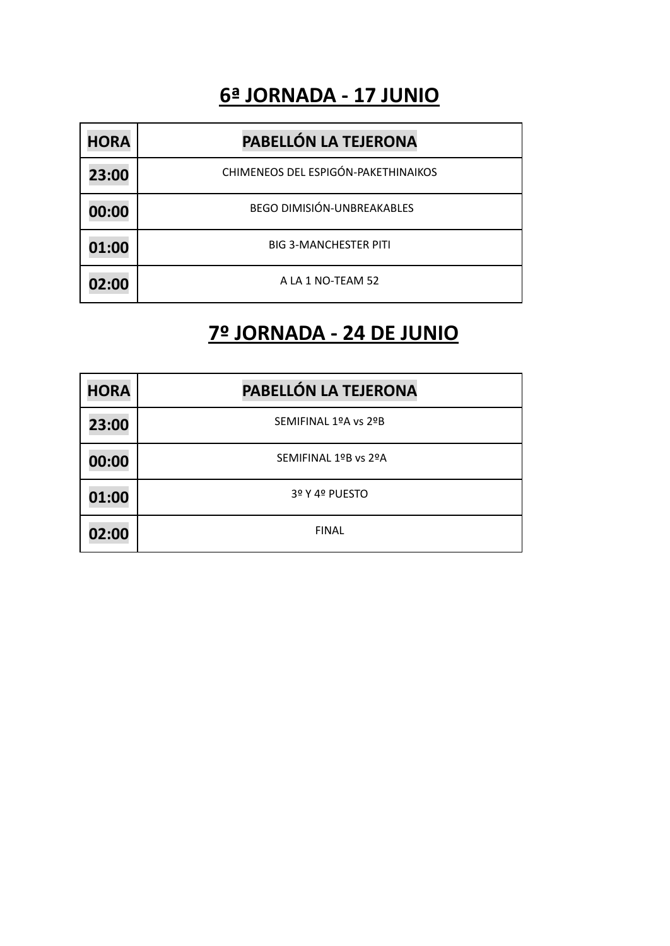#### **6ª JORNADA - 17 JUNIO**

| <b>HORA</b> | PABELLÓN LA TEJERONA                |
|-------------|-------------------------------------|
| 23:00       | CHIMENEOS DEL ESPIGÓN-PAKETHINAIKOS |
| 00:00       | <b>BEGO DIMISIÓN-UNBREAKABLES</b>   |
| 01:00       | <b>BIG 3-MANCHESTER PITI</b>        |
| 02:00       | A LA 1 NO-TEAM 52                   |

#### **7º JORNADA - 24 DE JUNIO**

| <b>HORA</b> | PABELLÓN LA TEJERONA |
|-------------|----------------------|
| 23:00       | SEMIFINAL 1ºA vs 2ºB |
| 00:00       | SEMIFINAL 1ºB vs 2ºA |
| 01:00       | 3º Y 4º PUESTO       |
| 02:00       | <b>FINAL</b>         |